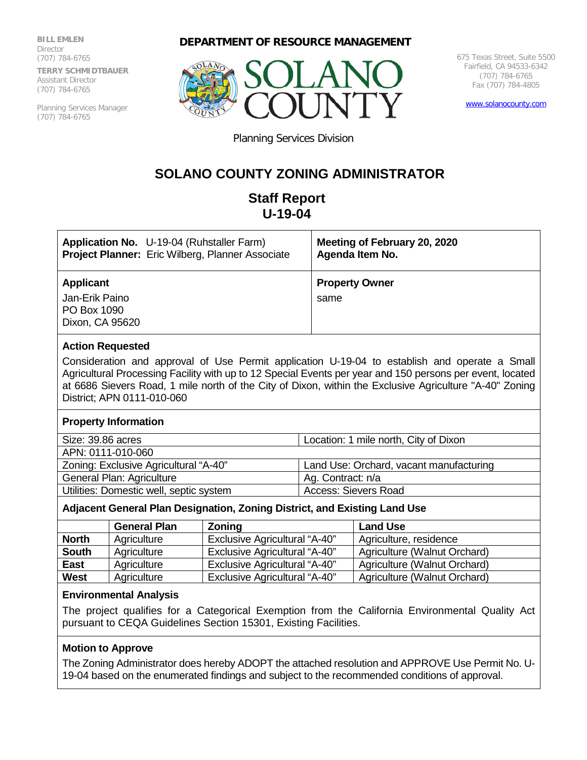**BILL EMLEN Director** (707) 784-6765 **TERRY SCHMIDTBAUER** Assistant Director (707) 784-6765

Planning Services Manager (707) 784-6765

## **DEPARTMENT OF RESOURCE MANAGEMENT**



675 Texas Street, Suite 5500 Fairfield, CA 94533-6342 (707) 784-6765 Fax (707) 784-4805

[www.solanocounty.com](http://www.solanocounty.com/)

Planning Services Division

# **SOLANO COUNTY ZONING ADMINISTRATOR**

# **Staff Report U-19-04**

| <b>Application No.</b> U-19-04 (Ruhstaller Farm)                     | Meeting of February 20, 2020  |
|----------------------------------------------------------------------|-------------------------------|
| Project Planner: Eric Wilberg, Planner Associate                     | Agenda Item No.               |
| <b>Applicant</b><br>Jan-Erik Paino<br>PO Box 1090<br>Dixon, CA 95620 | <b>Property Owner</b><br>same |

## **Action Requested**

Consideration and approval of Use Permit application U-19-04 to establish and operate a Small Agricultural Processing Facility with up to 12 Special Events per year and 150 persons per event, located at 6686 Sievers Road, 1 mile north of the City of Dixon, within the Exclusive Agriculture "A-40" Zoning District; APN 0111-010-060

#### **Property Information**

| Size: 39.86 acres                       | Location: 1 mile north, City of Dixon   |
|-----------------------------------------|-----------------------------------------|
| APN: 0111-010-060                       |                                         |
| Zoning: Exclusive Agricultural "A-40"   | Land Use: Orchard, vacant manufacturing |
| General Plan: Agriculture               | Ag. Contract: n/a                       |
| Utilities: Domestic well, septic system | Access: Sievers Road                    |

# **Adjacent General Plan Designation, Zoning District, and Existing Land Use**

|              | <b>General Plan</b> | <b>Zoning</b>                        | <b>Land Use</b>              |
|--------------|---------------------|--------------------------------------|------------------------------|
| <b>North</b> | Agriculture         | <b>Exclusive Agricultural "A-40"</b> | Agriculture, residence       |
| <b>South</b> | Agriculture         | <b>Exclusive Agricultural "A-40"</b> | Agriculture (Walnut Orchard) |
| <b>East</b>  | Agriculture         | <b>Exclusive Agricultural "A-40"</b> | Agriculture (Walnut Orchard) |
| West         | Agriculture         | <b>Exclusive Agricultural "A-40"</b> | Agriculture (Walnut Orchard) |

#### **Environmental Analysis**

The project qualifies for a Categorical Exemption from the California Environmental Quality Act pursuant to CEQA Guidelines Section 15301, Existing Facilities.

# **Motion to Approve**

The Zoning Administrator does hereby ADOPT the attached resolution and APPROVE Use Permit No. U-19-04 based on the enumerated findings and subject to the recommended conditions of approval.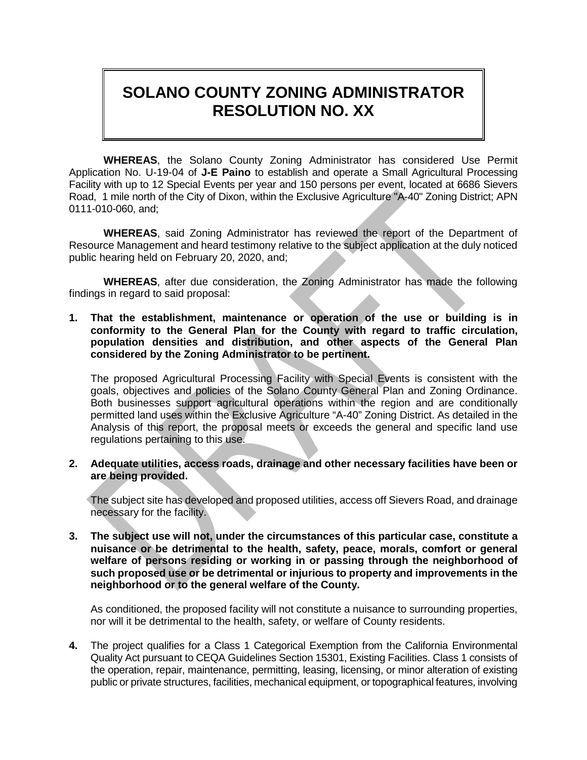# **SOLANO COUNTY ZONING ADMINISTRATOR RESOLUTION NO. XX**

**WHEREAS**, the Solano County Zoning Administrator has considered Use Permit Application No. U-19-04 of **J-E Paino** to establish and operate a Small Agricultural Processing Facility with up to 12 Special Events per year and 150 persons per event, located at 6686 Sievers Road, 1 mile north of the City of Dixon, within the Exclusive Agriculture "A-40" Zoning District; APN 0111-010-060, and;

**WHEREAS**, said Zoning Administrator has reviewed the report of the Department of Resource Management and heard testimony relative to the subject application at the duly noticed public hearing held on February 20, 2020, and;

**WHEREAS**, after due consideration, the Zoning Administrator has made the following findings in regard to said proposal:

**1. That the establishment, maintenance or operation of the use or building is in conformity to the General Plan for the County with regard to traffic circulation, population densities and distribution, and other aspects of the General Plan considered by the Zoning Administrator to be pertinent.**

The proposed Agricultural Processing Facility with Special Events is consistent with the goals, objectives and policies of the Solano County General Plan and Zoning Ordinance. Both businesses support agricultural operations within the region and are conditionally permitted land uses within the Exclusive Agriculture "A-40" Zoning District. As detailed in the Analysis of this report, the proposal meets or exceeds the general and specific land use regulations pertaining to this use.

**2. Adequate utilities, access roads, drainage and other necessary facilities have been or are being provided.**

The subject site has developed and proposed utilities, access off Sievers Road, and drainage necessary for the facility.

**3. The subject use will not, under the circumstances of this particular case, constitute a nuisance or be detrimental to the health, safety, peace, morals, comfort or general welfare of persons residing or working in or passing through the neighborhood of such proposed use or be detrimental or injurious to property and improvements in the neighborhood or to the general welfare of the County.**

As conditioned, the proposed facility will not constitute a nuisance to surrounding properties, nor will it be detrimental to the health, safety, or welfare of County residents.

**4.** The project qualifies for a Class 1 Categorical Exemption from the California Environmental Quality Act pursuant to CEQA Guidelines Section 15301, Existing Facilities. Class 1 consists of the operation, repair, maintenance, permitting, leasing, licensing, or minor alteration of existing public or private structures, facilities, mechanical equipment, or topographical features, involving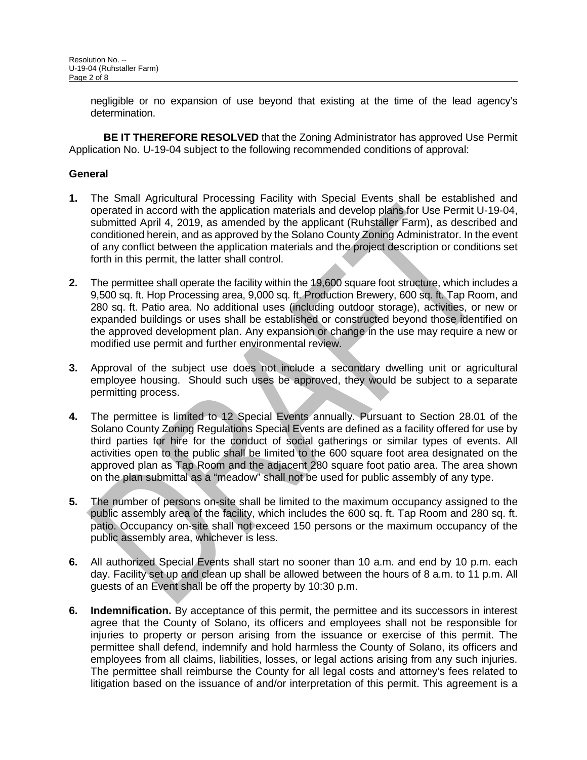negligible or no expansion of use beyond that existing at the time of the lead agency's determination.

**BE IT THEREFORE RESOLVED** that the Zoning Administrator has approved Use Permit Application No. U-19-04 subject to the following recommended conditions of approval:

# **General**

- **1.** The Small Agricultural Processing Facility with Special Events shall be established and operated in accord with the application materials and develop plans for Use Permit U-19-04, submitted April 4, 2019, as amended by the applicant (Ruhstaller Farm), as described and conditioned herein, and as approved by the Solano County Zoning Administrator. In the event of any conflict between the application materials and the project description or conditions set forth in this permit, the latter shall control.
- **2.** The permittee shall operate the facility within the 19,600 square foot structure, which includes a 9,500 sq. ft. Hop Processing area, 9,000 sq. ft. Production Brewery, 600 sq. ft. Tap Room, and 280 sq. ft. Patio area. No additional uses (including outdoor storage), activities, or new or expanded buildings or uses shall be established or constructed beyond those identified on the approved development plan. Any expansion or change in the use may require a new or modified use permit and further environmental review.
- **3.** Approval of the subject use does not include a secondary dwelling unit or agricultural employee housing. Should such uses be approved, they would be subject to a separate permitting process.
- **4.** The permittee is limited to 12 Special Events annually. Pursuant to Section 28.01 of the Solano County Zoning Regulations Special Events are defined as a facility offered for use by third parties for hire for the conduct of social gatherings or similar types of events. All activities open to the public shall be limited to the 600 square foot area designated on the approved plan as Tap Room and the adjacent 280 square foot patio area. The area shown on the plan submittal as a "meadow" shall not be used for public assembly of any type.
- **5.** The number of persons on-site shall be limited to the maximum occupancy assigned to the public assembly area of the facility, which includes the 600 sq. ft. Tap Room and 280 sq. ft. patio. Occupancy on-site shall not exceed 150 persons or the maximum occupancy of the public assembly area, whichever is less.
- **6.** All authorized Special Events shall start no sooner than 10 a.m. and end by 10 p.m. each day. Facility set up and clean up shall be allowed between the hours of 8 a.m. to 11 p.m. All guests of an Event shall be off the property by 10:30 p.m.
- **6. Indemnification.** By acceptance of this permit, the permittee and its successors in interest agree that the County of Solano, its officers and employees shall not be responsible for injuries to property or person arising from the issuance or exercise of this permit. The permittee shall defend, indemnify and hold harmless the County of Solano, its officers and employees from all claims, liabilities, losses, or legal actions arising from any such injuries. The permittee shall reimburse the County for all legal costs and attorney's fees related to litigation based on the issuance of and/or interpretation of this permit. This agreement is a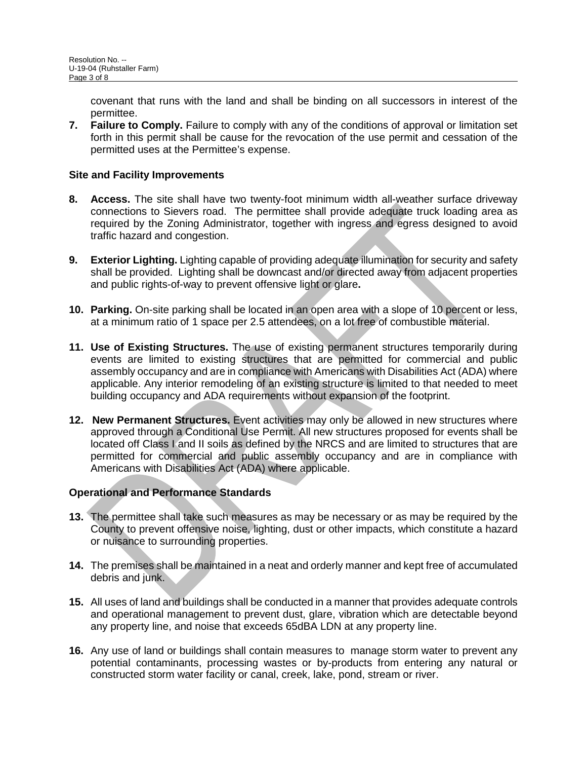covenant that runs with the land and shall be binding on all successors in interest of the permittee.

**7. Failure to Comply.** Failure to comply with any of the conditions of approval or limitation set forth in this permit shall be cause for the revocation of the use permit and cessation of the permitted uses at the Permittee's expense.

## **Site and Facility Improvements**

- **8. Access.** The site shall have two twenty-foot minimum width all-weather surface driveway connections to Sievers road. The permittee shall provide adequate truck loading area as required by the Zoning Administrator, together with ingress and egress designed to avoid traffic hazard and congestion.
- **9. Exterior Lighting.** Lighting capable of providing adequate illumination for security and safety shall be provided. Lighting shall be downcast and/or directed away from adjacent properties and public rights-of-way to prevent offensive light or glare**.**
- **10. Parking.** On-site parking shall be located in an open area with a slope of 10 percent or less, at a minimum ratio of 1 space per 2.5 attendees, on a lot free of combustible material.
- **11. Use of Existing Structures.** The use of existing permanent structures temporarily during events are limited to existing structures that are permitted for commercial and public assembly occupancy and are in compliance with Americans with Disabilities Act (ADA) where applicable. Any interior remodeling of an existing structure is limited to that needed to meet building occupancy and ADA requirements without expansion of the footprint.
- **12. New Permanent Structures.** Event activities may only be allowed in new structures where approved through a Conditional Use Permit. All new structures proposed for events shall be located off Class I and II soils as defined by the NRCS and are limited to structures that are permitted for commercial and public assembly occupancy and are in compliance with Americans with Disabilities Act (ADA) where applicable.

# **Operational and Performance Standards**

- **13.** The permittee shall take such measures as may be necessary or as may be required by the County to prevent offensive noise, lighting, dust or other impacts, which constitute a hazard or nuisance to surrounding properties.
- **14.** The premises shall be maintained in a neat and orderly manner and kept free of accumulated debris and junk.
- **15.** All uses of land and buildings shall be conducted in a manner that provides adequate controls and operational management to prevent dust, glare, vibration which are detectable beyond any property line, and noise that exceeds 65dBA LDN at any property line.
- **16.** Any use of land or buildings shall contain measures to manage storm water to prevent any potential contaminants, processing wastes or by-products from entering any natural or constructed storm water facility or canal, creek, lake, pond, stream or river.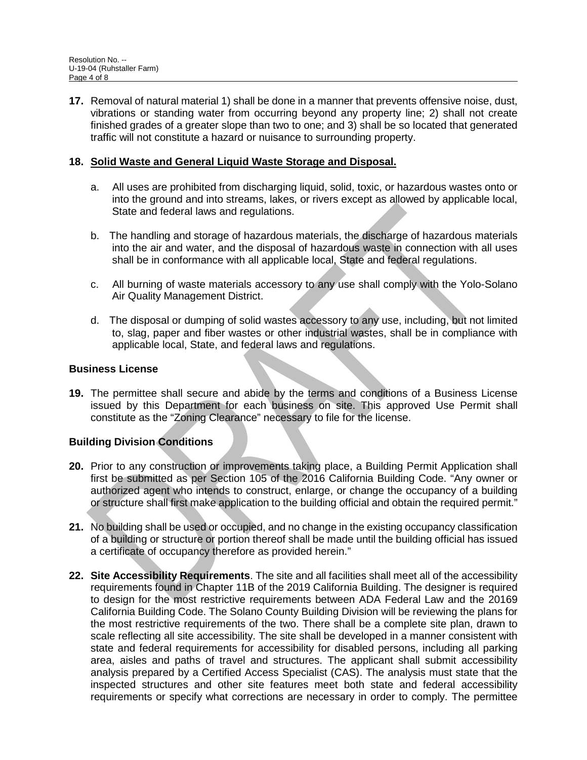**17.** Removal of natural material 1) shall be done in a manner that prevents offensive noise, dust, vibrations or standing water from occurring beyond any property line; 2) shall not create finished grades of a greater slope than two to one; and 3) shall be so located that generated traffic will not constitute a hazard or nuisance to surrounding property.

## **18. Solid Waste and General Liquid Waste Storage and Disposal.**

- a. All uses are prohibited from discharging liquid, solid, toxic, or hazardous wastes onto or into the ground and into streams, lakes, or rivers except as allowed by applicable local, State and federal laws and regulations.
- b. The handling and storage of hazardous materials, the discharge of hazardous materials into the air and water, and the disposal of hazardous waste in connection with all uses shall be in conformance with all applicable local, State and federal regulations.
- c. All burning of waste materials accessory to any use shall comply with the Yolo-Solano Air Quality Management District.
- d. The disposal or dumping of solid wastes accessory to any use, including, but not limited to, slag, paper and fiber wastes or other industrial wastes, shall be in compliance with applicable local, State, and federal laws and regulations.

#### **Business License**

**19.** The permittee shall secure and abide by the terms and conditions of a Business License issued by this Department for each business on site. This approved Use Permit shall constitute as the "Zoning Clearance" necessary to file for the license.

# **Building Division Conditions**

- **20.** Prior to any construction or improvements taking place, a Building Permit Application shall first be submitted as per Section 105 of the 2016 California Building Code. "Any owner or authorized agent who intends to construct, enlarge, or change the occupancy of a building or structure shall first make application to the building official and obtain the required permit."
- **21.** No building shall be used or occupied, and no change in the existing occupancy classification of a building or structure or portion thereof shall be made until the building official has issued a certificate of occupancy therefore as provided herein."
- **22. Site Accessibility Requirements**. The site and all facilities shall meet all of the accessibility requirements found in Chapter 11B of the 2019 California Building. The designer is required to design for the most restrictive requirements between ADA Federal Law and the 20169 California Building Code. The Solano County Building Division will be reviewing the plans for the most restrictive requirements of the two. There shall be a complete site plan, drawn to scale reflecting all site accessibility. The site shall be developed in a manner consistent with state and federal requirements for accessibility for disabled persons, including all parking area, aisles and paths of travel and structures. The applicant shall submit accessibility analysis prepared by a Certified Access Specialist (CAS). The analysis must state that the inspected structures and other site features meet both state and federal accessibility requirements or specify what corrections are necessary in order to comply. The permittee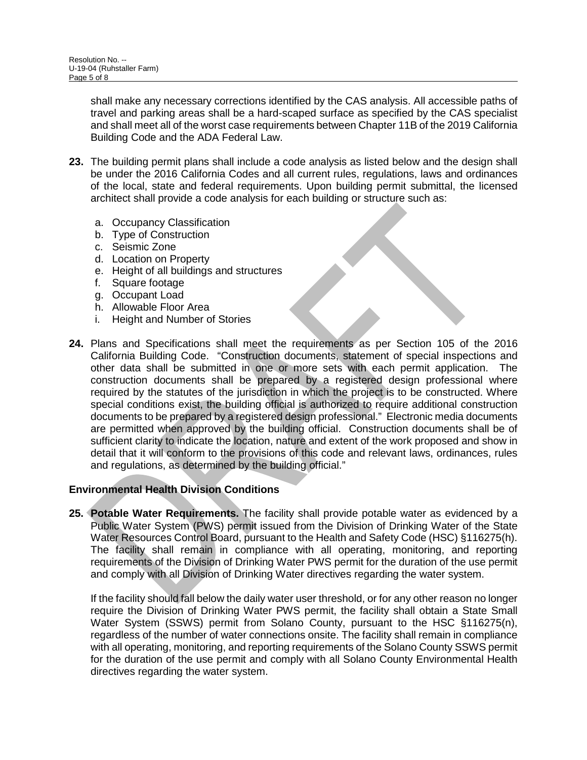shall make any necessary corrections identified by the CAS analysis. All accessible paths of travel and parking areas shall be a hard-scaped surface as specified by the CAS specialist and shall meet all of the worst case requirements between Chapter 11B of the 2019 California Building Code and the ADA Federal Law.

- **23.** The building permit plans shall include a code analysis as listed below and the design shall be under the 2016 California Codes and all current rules, regulations, laws and ordinances of the local, state and federal requirements. Upon building permit submittal, the licensed architect shall provide a code analysis for each building or structure such as:
	- a. Occupancy Classification
	- b. Type of Construction
	- c. Seismic Zone
	- d. Location on Property
	- e. Height of all buildings and structures
	- f. Square footage
	- g. Occupant Load
	- h. Allowable Floor Area
	- Height and Number of Stories
- **24.** Plans and Specifications shall meet the requirements as per Section 105 of the 2016 California Building Code. "Construction documents, statement of special inspections and other data shall be submitted in one or more sets with each permit application. The construction documents shall be prepared by a registered design professional where required by the statutes of the jurisdiction in which the project is to be constructed. Where special conditions exist, the building official is authorized to require additional construction documents to be prepared by a registered design professional." Electronic media documents are permitted when approved by the building official. Construction documents shall be of sufficient clarity to indicate the location, nature and extent of the work proposed and show in detail that it will conform to the provisions of this code and relevant laws, ordinances, rules and regulations, as determined by the building official."

# **Environmental Health Division Conditions**

**25. Potable Water Requirements.** The facility shall provide potable water as evidenced by a Public Water System (PWS) permit issued from the Division of Drinking Water of the State Water Resources Control Board, pursuant to the Health and Safety Code (HSC) §116275(h). The facility shall remain in compliance with all operating, monitoring, and reporting requirements of the Division of Drinking Water PWS permit for the duration of the use permit and comply with all Division of Drinking Water directives regarding the water system.

If the facility should fall below the daily water user threshold, or for any other reason no longer require the Division of Drinking Water PWS permit, the facility shall obtain a State Small Water System (SSWS) permit from Solano County, pursuant to the HSC §116275(n), regardless of the number of water connections onsite. The facility shall remain in compliance with all operating, monitoring, and reporting requirements of the Solano County SSWS permit for the duration of the use permit and comply with all Solano County Environmental Health directives regarding the water system.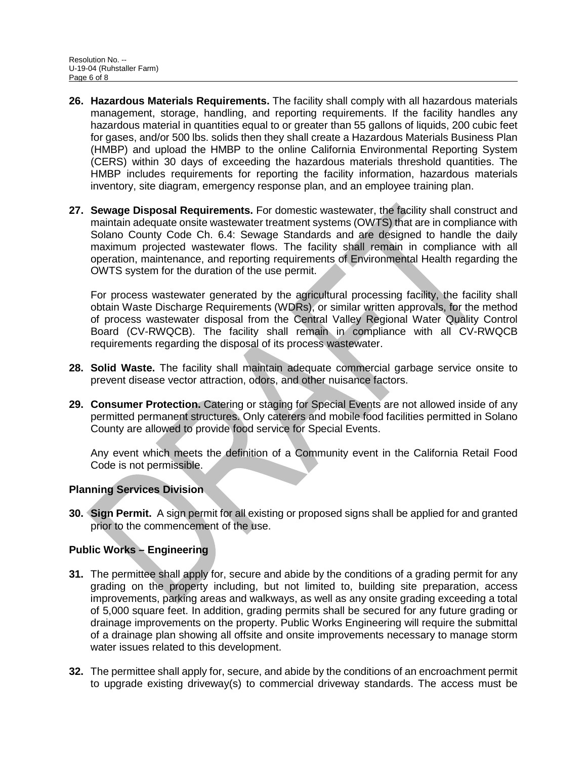- **26. Hazardous Materials Requirements.** The facility shall comply with all hazardous materials management, storage, handling, and reporting requirements. If the facility handles any hazardous material in quantities equal to or greater than 55 gallons of liquids, 200 cubic feet for gases, and/or 500 lbs. solids then they shall create a Hazardous Materials Business Plan (HMBP) and upload the HMBP to the online California Environmental Reporting System (CERS) within 30 days of exceeding the hazardous materials threshold quantities. The HMBP includes requirements for reporting the facility information, hazardous materials inventory, site diagram, emergency response plan, and an employee training plan.
- **27. Sewage Disposal Requirements.** For domestic wastewater, the facility shall construct and maintain adequate onsite wastewater treatment systems (OWTS) that are in compliance with Solano County Code Ch. 6.4: Sewage Standards and are designed to handle the daily maximum projected wastewater flows. The facility shall remain in compliance with all operation, maintenance, and reporting requirements of Environmental Health regarding the OWTS system for the duration of the use permit.

For process wastewater generated by the agricultural processing facility, the facility shall obtain Waste Discharge Requirements (WDRs), or similar written approvals, for the method of process wastewater disposal from the Central Valley Regional Water Quality Control Board (CV-RWQCB). The facility shall remain in compliance with all CV-RWQCB requirements regarding the disposal of its process wastewater.

- **28. Solid Waste.** The facility shall maintain adequate commercial garbage service onsite to prevent disease vector attraction, odors, and other nuisance factors.
- **29. Consumer Protection.** Catering or staging for Special Events are not allowed inside of any permitted permanent structures. Only caterers and mobile food facilities permitted in Solano County are allowed to provide food service for Special Events.

Any event which meets the definition of a Community event in the California Retail Food Code is not permissible.

# **Planning Services Division**

**30. Sign Permit.** A sign permit for all existing or proposed signs shall be applied for and granted prior to the commencement of the use.

# **Public Works – Engineering**

- **31.** The permittee shall apply for, secure and abide by the conditions of a grading permit for any grading on the property including, but not limited to, building site preparation, access improvements, parking areas and walkways, as well as any onsite grading exceeding a total of 5,000 square feet. In addition, grading permits shall be secured for any future grading or drainage improvements on the property. Public Works Engineering will require the submittal of a drainage plan showing all offsite and onsite improvements necessary to manage storm water issues related to this development.
- **32.** The permittee shall apply for, secure, and abide by the conditions of an encroachment permit to upgrade existing driveway(s) to commercial driveway standards. The access must be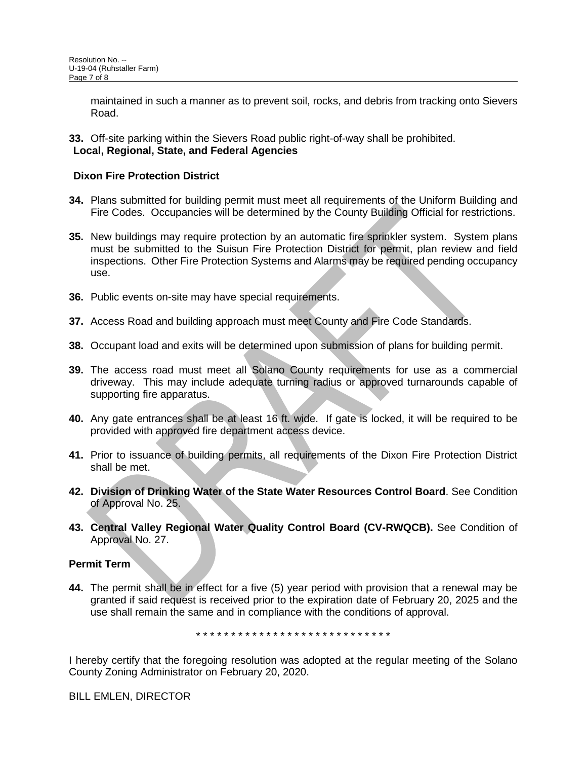maintained in such a manner as to prevent soil, rocks, and debris from tracking onto Sievers Road.

**33.** Off-site parking within the Sievers Road public right-of-way shall be prohibited. **Local, Regional, State, and Federal Agencies**

#### **Dixon Fire Protection District**

- **34.** Plans submitted for building permit must meet all requirements of the Uniform Building and Fire Codes. Occupancies will be determined by the County Building Official for restrictions.
- **35.** New buildings may require protection by an automatic fire sprinkler system. System plans must be submitted to the Suisun Fire Protection District for permit, plan review and field inspections. Other Fire Protection Systems and Alarms may be required pending occupancy use.
- **36.** Public events on-site may have special requirements.
- **37.** Access Road and building approach must meet County and Fire Code Standards.
- **38.** Occupant load and exits will be determined upon submission of plans for building permit.
- **39.** The access road must meet all Solano County requirements for use as a commercial driveway. This may include adequate turning radius or approved turnarounds capable of supporting fire apparatus.
- **40.** Any gate entrances shall be at least 16 ft. wide. If gate is locked, it will be required to be provided with approved fire department access device.
- **41.** Prior to issuance of building permits, all requirements of the Dixon Fire Protection District shall be met.
- **42. Division of Drinking Water of the State Water Resources Control Board**. See Condition of Approval No. 25.
- **43. Central Valley Regional Water Quality Control Board (CV-RWQCB).** See Condition of Approval No. 27.

#### **Permit Term**

**44.** The permit shall be in effect for a five (5) year period with provision that a renewal may be granted if said request is received prior to the expiration date of February 20, 2025 and the use shall remain the same and in compliance with the conditions of approval.

\* \* \* \* \* \* \* \* \* \* \* \* \* \* \* \* \* \* \* \* \* \* \* \* \* \* \* \*

I hereby certify that the foregoing resolution was adopted at the regular meeting of the Solano County Zoning Administrator on February 20, 2020.

BILL EMLEN, DIRECTOR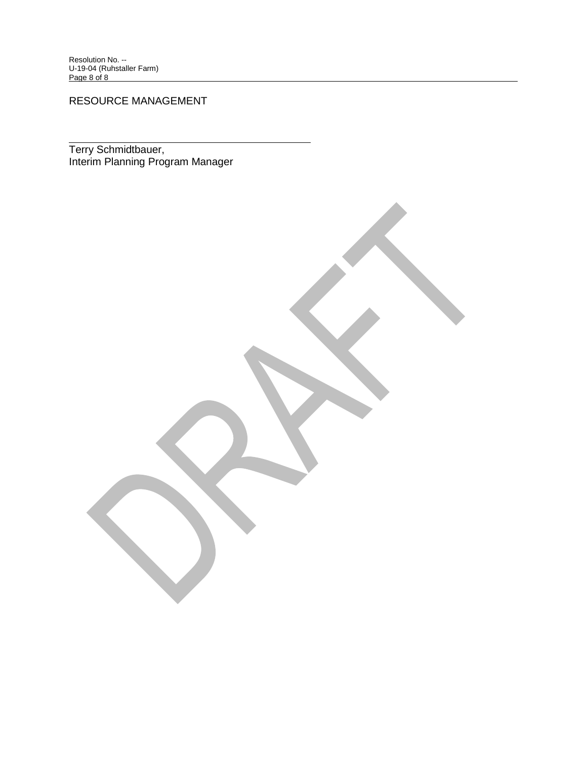RESOURCE MANAGEMENT

Terry Schmidtbauer, Interim Planning Program Manager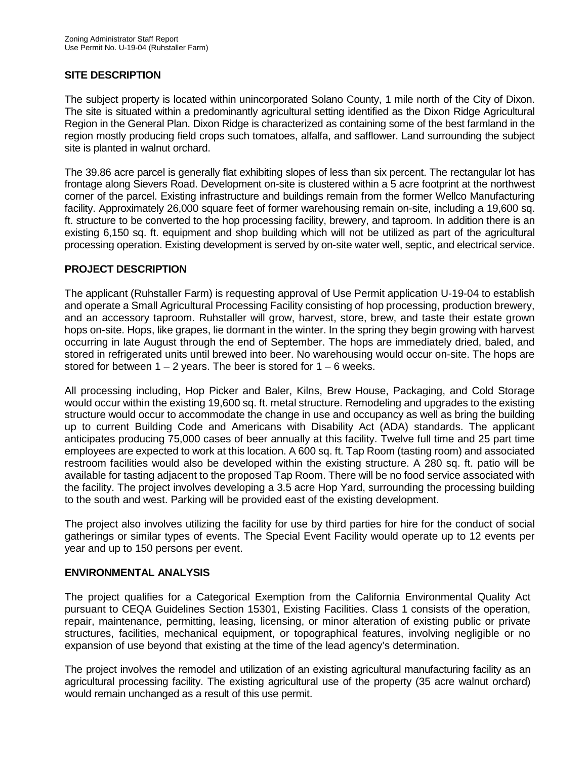# **SITE DESCRIPTION**

The subject property is located within unincorporated Solano County, 1 mile north of the City of Dixon. The site is situated within a predominantly agricultural setting identified as the Dixon Ridge Agricultural Region in the General Plan. Dixon Ridge is characterized as containing some of the best farmland in the region mostly producing field crops such tomatoes, alfalfa, and safflower. Land surrounding the subject site is planted in walnut orchard.

The 39.86 acre parcel is generally flat exhibiting slopes of less than six percent. The rectangular lot has frontage along Sievers Road. Development on-site is clustered within a 5 acre footprint at the northwest corner of the parcel. Existing infrastructure and buildings remain from the former Wellco Manufacturing facility. Approximately 26,000 square feet of former warehousing remain on-site, including a 19,600 sq. ft. structure to be converted to the hop processing facility, brewery, and taproom. In addition there is an existing 6,150 sq. ft. equipment and shop building which will not be utilized as part of the agricultural processing operation. Existing development is served by on-site water well, septic, and electrical service.

# **PROJECT DESCRIPTION**

The applicant (Ruhstaller Farm) is requesting approval of Use Permit application U-19-04 to establish and operate a Small Agricultural Processing Facility consisting of hop processing, production brewery, and an accessory taproom. Ruhstaller will grow, harvest, store, brew, and taste their estate grown hops on-site. Hops, like grapes, lie dormant in the winter. In the spring they begin growing with harvest occurring in late August through the end of September. The hops are immediately dried, baled, and stored in refrigerated units until brewed into beer. No warehousing would occur on-site. The hops are stored for between  $1 - 2$  years. The beer is stored for  $1 - 6$  weeks.

All processing including, Hop Picker and Baler, Kilns, Brew House, Packaging, and Cold Storage would occur within the existing 19,600 sq. ft. metal structure. Remodeling and upgrades to the existing structure would occur to accommodate the change in use and occupancy as well as bring the building up to current Building Code and Americans with Disability Act (ADA) standards. The applicant anticipates producing 75,000 cases of beer annually at this facility. Twelve full time and 25 part time employees are expected to work at this location. A 600 sq. ft. Tap Room (tasting room) and associated restroom facilities would also be developed within the existing structure. A 280 sq. ft. patio will be available for tasting adjacent to the proposed Tap Room. There will be no food service associated with the facility. The project involves developing a 3.5 acre Hop Yard, surrounding the processing building to the south and west. Parking will be provided east of the existing development.

The project also involves utilizing the facility for use by third parties for hire for the conduct of social gatherings or similar types of events. The Special Event Facility would operate up to 12 events per year and up to 150 persons per event.

#### **ENVIRONMENTAL ANALYSIS**

The project qualifies for a Categorical Exemption from the California Environmental Quality Act pursuant to CEQA Guidelines Section 15301, Existing Facilities. Class 1 consists of the operation, repair, maintenance, permitting, leasing, licensing, or minor alteration of existing public or private structures, facilities, mechanical equipment, or topographical features, involving negligible or no expansion of use beyond that existing at the time of the lead agency's determination.

The project involves the remodel and utilization of an existing agricultural manufacturing facility as an agricultural processing facility. The existing agricultural use of the property (35 acre walnut orchard) would remain unchanged as a result of this use permit.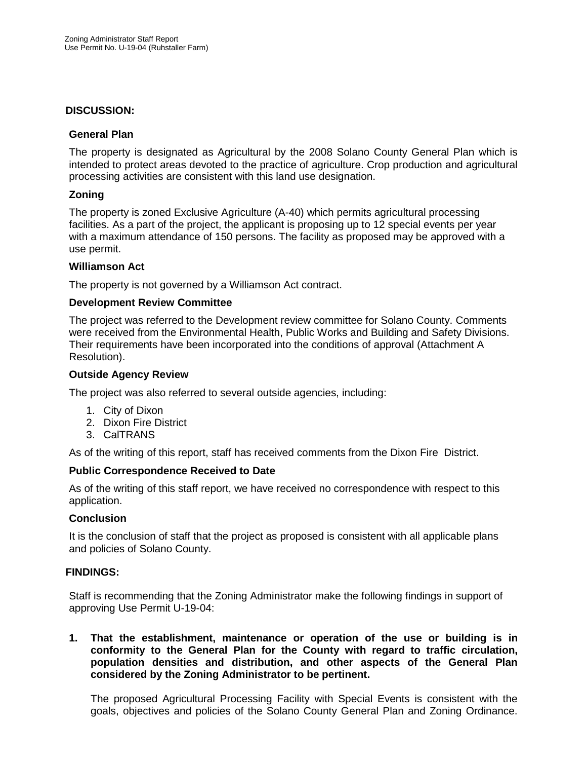#### **DISCUSSION:**

#### **General Plan**

The property is designated as Agricultural by the 2008 Solano County General Plan which is intended to protect areas devoted to the practice of agriculture. Crop production and agricultural processing activities are consistent with this land use designation.

#### **Zoning**

The property is zoned Exclusive Agriculture (A-40) which permits agricultural processing facilities. As a part of the project, the applicant is proposing up to 12 special events per year with a maximum attendance of 150 persons. The facility as proposed may be approved with a use permit.

#### **Williamson Act**

The property is not governed by a Williamson Act contract.

#### **Development Review Committee**

The project was referred to the Development review committee for Solano County. Comments were received from the Environmental Health, Public Works and Building and Safety Divisions. Their requirements have been incorporated into the conditions of approval (Attachment A Resolution).

#### **Outside Agency Review**

The project was also referred to several outside agencies, including:

- 1. City of Dixon
- 2. Dixon Fire District
- 3. CalTRANS

As of the writing of this report, staff has received comments from the Dixon Fire District.

#### **Public Correspondence Received to Date**

As of the writing of this staff report, we have received no correspondence with respect to this application.

#### **Conclusion**

It is the conclusion of staff that the project as proposed is consistent with all applicable plans and policies of Solano County.

# **FINDINGS:**

Staff is recommending that the Zoning Administrator make the following findings in support of approving Use Permit U-19-04:

**1. That the establishment, maintenance or operation of the use or building is in conformity to the General Plan for the County with regard to traffic circulation, population densities and distribution, and other aspects of the General Plan considered by the Zoning Administrator to be pertinent.**

The proposed Agricultural Processing Facility with Special Events is consistent with the goals, objectives and policies of the Solano County General Plan and Zoning Ordinance.